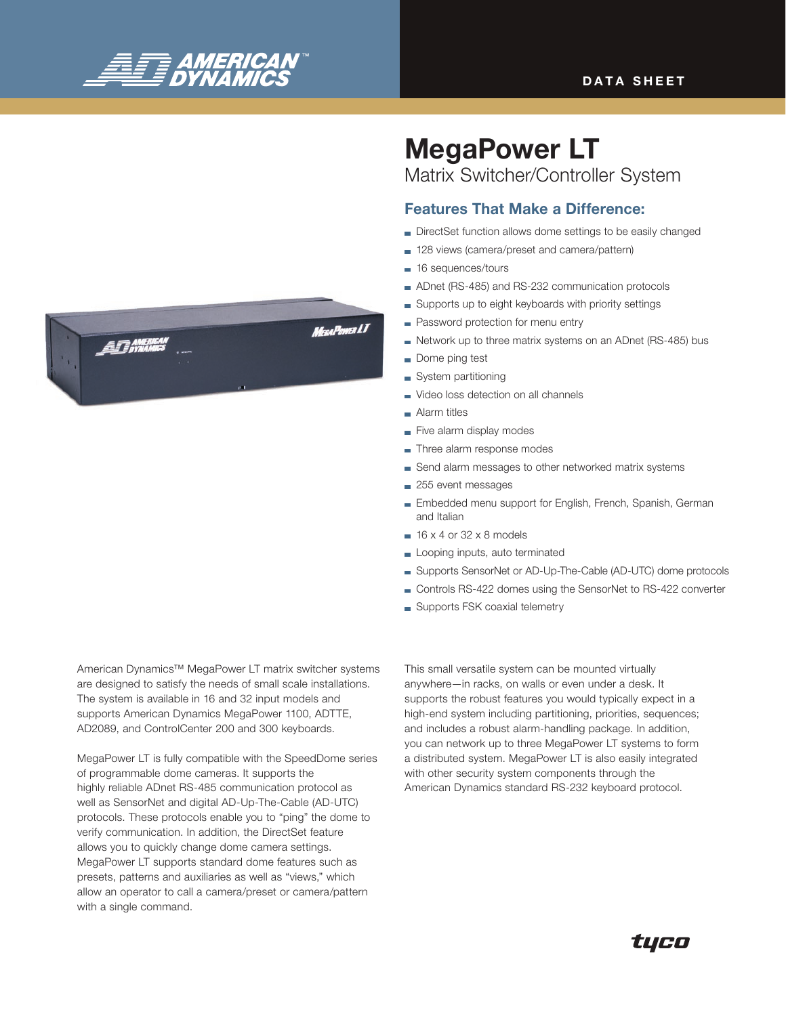

# MegaPower LT

Matrix Switcher/Controller System

# Features That Make a Difference:

- DirectSet function allows dome settings to be easily changed
- 128 views (camera/preset and camera/pattern)
- **16 sequences/tours**
- ADnet (RS-485) and RS-232 communication protocols
- Supports up to eight keyboards with priority settings
- **Password protection for menu entry**
- Network up to three matrix systems on an ADnet (RS-485) bus
- Dome ping test
- System partitioning
- Video loss detection on all channels
- **Alarm titles**
- Five alarm display modes
- Three alarm response modes
- Send alarm messages to other networked matrix systems
- 255 event messages
- **Embedded menu support for English, French, Spanish, German** and Italian
- $\equiv$  16 x 4 or 32 x 8 models
- Looping inputs, auto terminated
- Supports SensorNet or AD-Up-The-Cable (AD-UTC) dome protocols
- Controls RS-422 domes using the SensorNet to RS-422 converter
- Supports FSK coaxial telemetry

American Dynamics™ MegaPower LT matrix switcher systems are designed to satisfy the needs of small scale installations. The system is available in 16 and 32 input models and supports American Dynamics MegaPower 1100, ADTTE, AD2089, and ControlCenter 200 and 300 keyboards.

MegaPower LT is fully compatible with the SpeedDome series of programmable dome cameras. It supports the highly reliable ADnet RS-485 communication protocol as well as SensorNet and digital AD-Up-The-Cable (AD-UTC) protocols. These protocols enable you to "ping" the dome to verify communication. In addition, the DirectSet feature allows you to quickly change dome camera settings. MegaPower LT supports standard dome features such as presets, patterns and auxiliaries as well as "views," which allow an operator to call a camera/preset or camera/pattern with a single command.

This small versatile system can be mounted virtually anywhere—in racks, on walls or even under a desk. It supports the robust features you would typically expect in a high-end system including partitioning, priorities, sequences; and includes a robust alarm-handling package. In addition, you can network up to three MegaPower LT systems to form a distributed system. MegaPower LT is also easily integrated with other security system components through the American Dynamics standard RS-232 keyboard protocol.

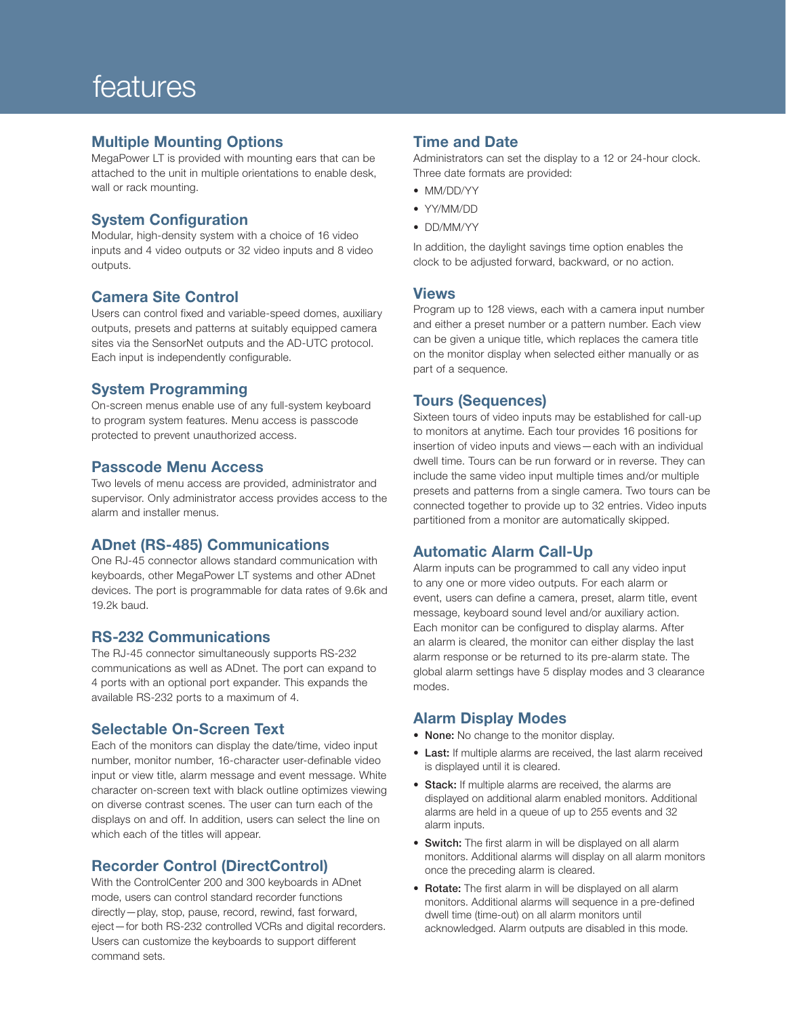# features

#### Multiple Mounting Options

MegaPower LT is provided with mounting ears that can be attached to the unit in multiple orientations to enable desk, wall or rack mounting.

# System Configuration

Modular, high-density system with a choice of 16 video inputs and 4 video outputs or 32 video inputs and 8 video outputs.

# Camera Site Control

Users can control fixed and variable-speed domes, auxiliary outputs, presets and patterns at suitably equipped camera sites via the SensorNet outputs and the AD-UTC protocol. Each input is independently configurable.

# System Programming

On-screen menus enable use of any full-system keyboard to program system features. Menu access is passcode protected to prevent unauthorized access.

#### Passcode Menu Access

Two levels of menu access are provided, administrator and supervisor. Only administrator access provides access to the alarm and installer menus.

# ADnet (RS-485) Communications

One RJ-45 connector allows standard communication with keyboards, other MegaPower LT systems and other ADnet devices. The port is programmable for data rates of 9.6k and 19.2k baud.

#### RS-232 Communications

The RJ-45 connector simultaneously supports RS-232 communications as well as ADnet. The port can expand to 4 ports with an optional port expander. This expands the available RS-232 ports to a maximum of 4.

# Selectable On-Screen Text

Each of the monitors can display the date/time, video input number, monitor number, 16-character user-definable video input or view title, alarm message and event message. White character on-screen text with black outline optimizes viewing on diverse contrast scenes. The user can turn each of the displays on and off. In addition, users can select the line on which each of the titles will appear.

# Recorder Control (DirectControl)

With the ControlCenter 200 and 300 keyboards in ADnet mode, users can control standard recorder functions directly—play, stop, pause, record, rewind, fast forward, eject—for both RS-232 controlled VCRs and digital recorders. Users can customize the keyboards to support different command sets.

#### Time and Date

Administrators can set the display to a 12 or 24-hour clock. Three date formats are provided:

- MM/DD/YY
- YY/MM/DD
- DD/MM/YY

In addition, the daylight savings time option enables the clock to be adjusted forward, backward, or no action.

#### Views

Program up to 128 views, each with a camera input number and either a preset number or a pattern number. Each view can be given a unique title, which replaces the camera title on the monitor display when selected either manually or as part of a sequence.

# Tours (Sequences)

Sixteen tours of video inputs may be established for call-up to monitors at anytime. Each tour provides 16 positions for insertion of video inputs and views—each with an individual dwell time. Tours can be run forward or in reverse. They can include the same video input multiple times and/or multiple presets and patterns from a single camera. Two tours can be connected together to provide up to 32 entries. Video inputs partitioned from a monitor are automatically skipped.

# Automatic Alarm Call-Up

Alarm inputs can be programmed to call any video input to any one or more video outputs. For each alarm or event, users can define a camera, preset, alarm title, event message, keyboard sound level and/or auxiliary action. Each monitor can be configured to display alarms. After an alarm is cleared, the monitor can either display the last alarm response or be returned to its pre-alarm state. The global alarm settings have 5 display modes and 3 clearance modes.

#### Alarm Display Modes

- None: No change to the monitor display.
- Last: If multiple alarms are received, the last alarm received is displayed until it is cleared.
- Stack: If multiple alarms are received, the alarms are displayed on additional alarm enabled monitors. Additional alarms are held in a queue of up to 255 events and 32 alarm inputs.
- Switch: The first alarm in will be displayed on all alarm monitors. Additional alarms will display on all alarm monitors once the preceding alarm is cleared.
- Rotate: The first alarm in will be displayed on all alarm monitors. Additional alarms will sequence in a pre-defined dwell time (time-out) on all alarm monitors until acknowledged. Alarm outputs are disabled in this mode.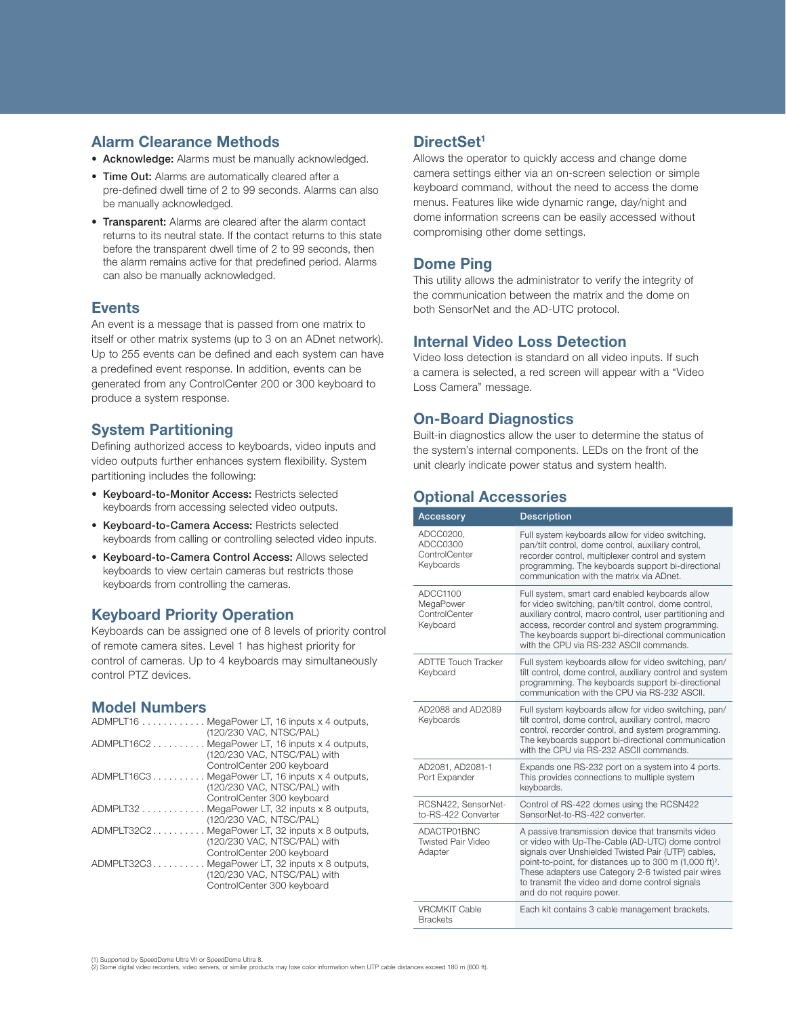#### Alarm Clearance Methods

- Acknowledge: Alarms must be manually acknowledged.
- Time Out: Alarms are automatically cleared after a pre-defined dwell time of 2 to 99 seconds. Alarms can also be manually acknowledged.
- Transparent: Alarms are cleared after the alarm contact returns to its neutral state. If the contact returns to this state before the transparent dwell time of 2 to 99 seconds, then the alarm remains active for that predefined period. Alarms can also be manually acknowledged.

#### **Events**

An event is a message that is passed from one matrix to itself or other matrix systems (up to 3 on an ADnet network). Up to 255 events can be defined and each system can have a predefined event response. In addition, events can be generated from any ControlCenter 200 or 300 keyboard to produce a system response.

# System Partitioning

Defining authorized access to keyboards, video inputs and video outputs further enhances system flexibility. System partitioning includes the following:

- • Keyboard-to-Monitor Access: Restricts selected keyboards from accessing selected video outputs.
- Keyboard-to-Camera Access: Restricts selected keyboards from calling or controlling selected video inputs.
- • Keyboard-to-Camera Control Access: Allows selected keyboards to view certain cameras but restricts those keyboards from controlling the cameras.

# Keyboard Priority Operation

Keyboards can be assigned one of 8 levels of priority control of remote camera sites. Level 1 has highest priority for control of cameras. Up to 4 keyboards may simultaneously control PTZ devices.

# Model Numbers

| ADMPLT16   | MegaPower LT, 16 inputs x 4 outputs,<br>(120/230 VAC, NTSC/PAL)      |
|------------|----------------------------------------------------------------------|
| ADMPLT16C2 | MegaPower LT, 16 inputs x 4 outputs,<br>(120/230 VAC, NTSC/PAL) with |
|            | ControlCenter 200 keyboard                                           |
| ADMPLT16C3 | MegaPower LT, 16 inputs x 4 outputs,                                 |
|            | (120/230 VAC, NTSC/PAL) with<br>ControlCenter 300 keyboard           |
| $ADMPLT32$ | MegaPower LT, 32 inputs x 8 outputs,                                 |
| ADMPLT32C2 | (120/230 VAC, NTSC/PAL)<br>MegaPower LT, 32 inputs x 8 outputs,      |
|            | (120/230 VAC, NTSC/PAL) with                                         |
|            | ControlCenter 200 keyboard                                           |
| ADMPLT32C3 | MegaPower LT, 32 inputs x 8 outputs,<br>(120/230 VAC, NTSC/PAL) with |
|            | ControlCenter 300 keyboard                                           |
|            |                                                                      |

#### DirectSet<sup>1</sup>

Allows the operator to quickly access and change dome camera settings either via an on-screen selection or simple keyboard command, without the need to access the dome menus. Features like wide dynamic range, day/night and dome information screens can be easily accessed without compromising other dome settings.

# Dome Ping

This utility allows the administrator to verify the integrity of the communication between the matrix and the dome on both SensorNet and the AD-UTC protocol.

# Internal Video Loss Detection

Video loss detection is standard on all video inputs. If such a camera is selected, a red screen will appear with a "Video Loss Camera" message.

#### On-Board Diagnostics

Built-in diagnostics allow the user to determine the status of the system's internal components. LEDs on the front of the unit clearly indicate power status and system health.

# Optional Accessories

| Accessory                                           | <b>Description</b>                                                                                                                                                                                                                                                                                                                                                       |
|-----------------------------------------------------|--------------------------------------------------------------------------------------------------------------------------------------------------------------------------------------------------------------------------------------------------------------------------------------------------------------------------------------------------------------------------|
| ADCC0200.<br>ADCC0300<br>ControlCenter<br>Keyboards | Full system keyboards allow for video switching,<br>pan/tilt control, dome control, auxiliary control,<br>recorder control, multiplexer control and system<br>programming. The keyboards support bi-directional<br>communication with the matrix via ADnet.                                                                                                              |
| ADCC1100<br>MegaPower<br>ControlCenter<br>Keyboard  | Full system, smart card enabled keyboards allow<br>for video switching, pan/tilt control, dome control,<br>auxiliary control, macro control, user partitioning and<br>access, recorder control and system programming.<br>The keyboards support bi-directional communication<br>with the CPU via RS-232 ASCII commands.                                                  |
| <b>ADTTE Touch Tracker</b><br>Keyboard              | Full system keyboards allow for video switching, pan/<br>tilt control, dome control, auxiliary control and system<br>programming. The keyboards support bi-directional<br>communication with the CPU via RS-232 ASCII.                                                                                                                                                   |
| AD2088 and AD2089<br>Keyboards                      | Full system keyboards allow for video switching, pan/<br>tilt control, dome control, auxiliary control, macro<br>control, recorder control, and system programming.<br>The keyboards support bi-directional communication<br>with the CPU via RS-232 ASCII commands.                                                                                                     |
| AD2081, AD2081-1<br>Port Expander                   | Expands one RS-232 port on a system into 4 ports.<br>This provides connections to multiple system<br>keyboards.                                                                                                                                                                                                                                                          |
| RCSN422, SensorNet-<br>to-RS-422 Converter          | Control of RS-422 domes using the RCSN422<br>SensorNet-to-RS-422 converter.                                                                                                                                                                                                                                                                                              |
| ADACTP01BNC<br><b>Twisted Pair Video</b><br>Adapter | A passive transmission device that transmits video<br>or video with Up-The-Cable (AD-UTC) dome control<br>signals over Unshielded Twisted Pair (UTP) cables,<br>point-to-point, for distances up to 300 m (1,000 ft) <sup>2</sup> .<br>These adapters use Category 2-6 twisted pair wires<br>to transmit the video and dome control signals<br>and do not require power. |
| <b>VRCMKIT Cable</b><br><b>Brackets</b>             | Each kit contains 3 cable management brackets.                                                                                                                                                                                                                                                                                                                           |

(2) Some digital video recorders, video servers, or similar products may lose color information when UTP cable distances exceed 180 m (600 ft).